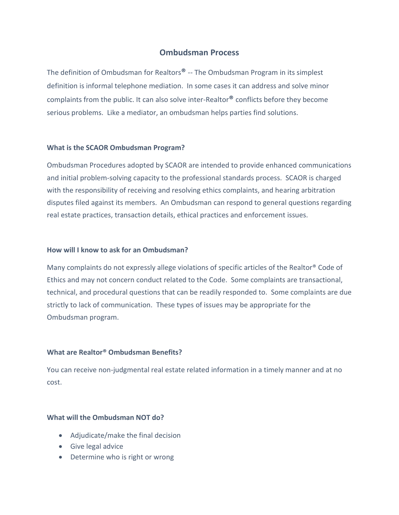# **Ombudsman Process**

The definition of Ombudsman for Realtors**®** -- The Ombudsman Program in its simplest definition is informal telephone mediation. In some cases it can address and solve minor complaints from the public. It can also solve inter-Realtor**®** conflicts before they become serious problems. Like a mediator, an ombudsman helps parties find solutions.

#### **What is the SCAOR Ombudsman Program?**

Ombudsman Procedures adopted by SCAOR are intended to provide enhanced communications and initial problem-solving capacity to the professional standards process. SCAOR is charged with the responsibility of receiving and resolving ethics complaints, and hearing arbitration disputes filed against its members. An Ombudsman can respond to general questions regarding real estate practices, transaction details, ethical practices and enforcement issues.

#### **How will I know to ask for an Ombudsman?**

Many complaints do not expressly allege violations of specific articles of the Realtor® Code of Ethics and may not concern conduct related to the Code. Some complaints are transactional, technical, and procedural questions that can be readily responded to. Some complaints are due strictly to lack of communication. These types of issues may be appropriate for the Ombudsman program.

### **What are Realtor® Ombudsman Benefits?**

You can receive non-judgmental real estate related information in a timely manner and at no cost.

### **What will the Ombudsman NOT do?**

- Adjudicate/make the final decision
- Give legal advice
- Determine who is right or wrong